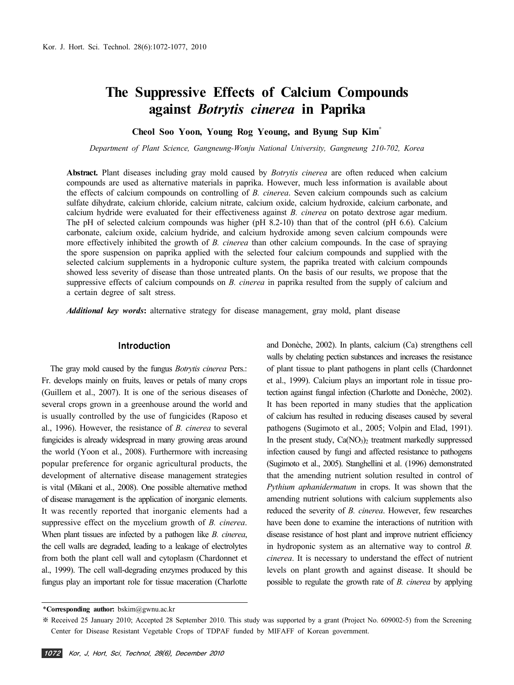# **The Suppressive Effects of Calcium Compounds against** *Botrytis cinerea* **in Paprika**

**Cheol Soo Yoon, Young Rog Yeoung, and Byung Sup Kim**\*

*Department of Plant Science, Gangneung-Wonju National University, Gangneung 210-702, Korea*

**Abstract.** Plant diseases including gray mold caused by *Botrytis cinerea* are often reduced when calcium compounds are used as alternative materials in paprika. However, much less information is available about the effects of calcium compounds on controlling of *B. cinerea*. Seven calcium compounds such as calcium sulfate dihydrate, calcium chloride, calcium nitrate, calcium oxide, calcium hydroxide, calcium carbonate, and calcium hydride were evaluated for their effectiveness against *B. cinerea* on potato dextrose agar medium. The pH of selected calcium compounds was higher (pH 8.2-10) than that of the control (pH 6.6). Calcium carbonate, calcium oxide, calcium hydride, and calcium hydroxide among seven calcium compounds were more effectively inhibited the growth of *B. cinerea* than other calcium compounds. In the case of spraying the spore suspension on paprika applied with the selected four calcium compounds and supplied with the selected calcium supplements in a hydroponic culture system, the paprika treated with calcium compounds showed less severity of disease than those untreated plants. On the basis of our results, we propose that the suppressive effects of calcium compounds on *B. cinerea* in paprika resulted from the supply of calcium and a certain degree of salt stress.

*Additional key words***:** alternative strategy for disease management, gray mold, plant disease

## Introduction

The gray mold caused by the fungus *Botrytis cinerea* Pers.: Fr. develops mainly on fruits, leaves or petals of many crops (Guillem et al., 2007). It is one of the serious diseases of several crops grown in a greenhouse around the world and is usually controlled by the use of fungicides (Raposo et al., 1996). However, the resistance of *B. cinerea* to several fungicides is already widespread in many growing areas around the world (Yoon et al., 2008). Furthermore with increasing popular preference for organic agricultural products, the development of alternative disease management strategies is vital (Mikani et al., 2008). One possible alternative method of disease management is the application of inorganic elements. It was recently reported that inorganic elements had a suppressive effect on the mycelium growth of *B. cinerea*. When plant tissues are infected by a pathogen like *B. cinerea*, the cell walls are degraded, leading to a leakage of electrolytes from both the plant cell wall and cytoplasm (Chardonnet et al., 1999). The cell wall-degrading enzymes produced by this fungus play an important role for tissue maceration (Charlotte

and Donèche, 2002). In plants, calcium (Ca) strengthens cell walls by chelating pecticn substances and increases the resistance of plant tissue to plant pathogens in plant cells (Chardonnet et al., 1999). Calcium plays an important role in tissue protection against fungal infection (Charlotte and Donèche, 2002). It has been reported in many studies that the application of calcium has resulted in reducing diseases caused by several pathogens (Sugimoto et al., 2005; Volpin and Elad, 1991). In the present study,  $Ca(NO<sub>3</sub>)<sub>2</sub>$  treatment markedly suppressed infection caused by fungi and affected resistance to pathogens (Sugimoto et al., 2005). Stanghellini et al. (1996) demonstrated that the amending nutrient solution resulted in control of *Pythium aphanidermatum* in crops. It was shown that the amending nutrient solutions with calcium supplements also reduced the severity of *B. cinerea*. However, few researches have been done to examine the interactions of nutrition with disease resistance of host plant and improve nutrient efficiency in hydroponic system as an alternative way to control *B. cinerea*. It is necessary to understand the effect of nutrient levels on plant growth and against disease. It should be possible to regulate the growth rate of *B. cinerea* by applying

<sup>\*</sup>**Corresponding author:** bskim@gwnu.ac.kr

<sup>※</sup> Received 25 January 2010; Accepted 28 September 2010. This study was supported by a grant (Project No. 609002-5) from the Screening Center for Disease Resistant Vegetable Crops of TDPAF funded by MIFAFF of Korean government.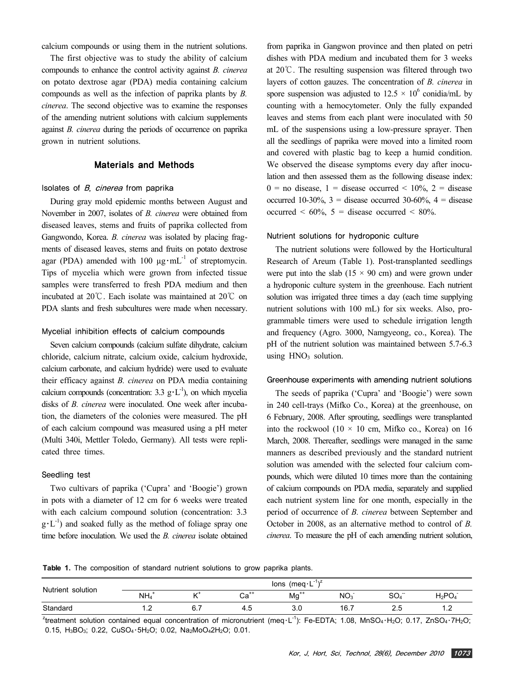calcium compounds or using them in the nutrient solutions.

The first objective was to study the ability of calcium compounds to enhance the control activity against *B. cinerea* on potato dextrose agar (PDA) media containing calcium compounds as well as the infection of paprika plants by *B. cinerea*. The second objective was to examine the responses of the amending nutrient solutions with calcium supplements against *B. cinerea* during the periods of occurrence on paprika grown in nutrient solutions.

## Materials and Methods

## Isolates of B. cinerea from paprika

During gray mold epidemic months between August and November in 2007, isolates of *B. cinerea* were obtained from diseased leaves, stems and fruits of paprika collected from Gangwondo, Korea. *B. cinerea* was isolated by placing fragments of diseased leaves, stems and fruits on potato dextrose agar (PDA) amended with 100  $\mu$ g·mL<sup>-1</sup> of streptomycin. Tips of mycelia which were grown from infected tissue samples were transferred to fresh PDA medium and then incubated at 20℃. Each isolate was maintained at 20℃ on PDA slants and fresh subcultures were made when necessary.

#### Mycelial inhibition effects of calcium compounds

Seven calcium compounds (calcium sulfate dihydrate, calcium chloride, calcium nitrate, calcium oxide, calcium hydroxide, calcium carbonate, and calcium hydride) were used to evaluate their efficacy against *B. cinerea* on PDA media containing calcium compounds (concentration: 3.3  $g \cdot L^{-1}$ ), on which mycelia disks of *B. cinerea* were inoculated. One week after incubation, the diameters of the colonies were measured. The pH of each calcium compound was measured using a pH meter (Multi 340i, Mettler Toledo, Germany). All tests were replicated three times.

#### Seedling test

Two cultivars of paprika ('Cupra' and 'Boogie') grown in pots with a diameter of 12 cm for 6 weeks were treated with each calcium compound solution (concentration: 3.3)  $g \cdot L^{-1}$ ) and soaked fully as the method of foliage spray one time before inoculation. We used the *B. cinerea* isolate obtained

from paprika in Gangwon province and then plated on petri dishes with PDA medium and incubated them for 3 weeks at 20℃. The resulting suspension was filtered through two layers of cotton gauzes. The concentration of *B. cinerea* in spore suspension was adjusted to  $12.5 \times 10^6$  conidia/mL by counting with a hemocytometer. Only the fully expanded leaves and stems from each plant were inoculated with 50 mL of the suspensions using a low-pressure sprayer. Then all the seedlings of paprika were moved into a limited room and covered with plastic bag to keep a humid condition. We observed the disease symptoms every day after inoculation and then assessed them as the following disease index:  $0 =$  no disease,  $1 =$  disease occurred  $\leq 10\%$ ,  $2 =$  disease occurred 10-30%,  $3 =$  disease occurred 30-60%,  $4 =$  disease occurred  $\leq 60\%$ ,  $5 =$  disease occurred  $\leq 80\%$ .

#### Nutrient solutions for hydroponic culture

The nutrient solutions were followed by the Horticultural Research of Areum (Table 1). Post-transplanted seedlings were put into the slab ( $15 \times 90$  cm) and were grown under a hydroponic culture system in the greenhouse. Each nutrient solution was irrigated three times a day (each time supplying nutrient solutions with 100 mL) for six weeks. Also, programmable timers were used to schedule irrigation length and frequency (Agro. 3000, Namgyeong, co., Korea). The pH of the nutrient solution was maintained between 5.7-6.3 using  $HNO<sub>3</sub>$  solution.

#### Greenhouse experiments with amending nutrient solutions

The seeds of paprika ('Cupra' and 'Boogie') were sown in 240 cell-trays (Mifko Co., Korea) at the greenhouse, on 6 February, 2008. After sprouting, seedlings were transplanted into the rockwool (10  $\times$  10 cm, Mifko co., Korea) on 16 March, 2008. Thereafter, seedlings were managed in the same manners as described previously and the standard nutrient solution was amended with the selected four calcium compounds, which were diluted 10 times more than the containing of calcium compounds on PDA media, separately and supplied each nutrient system line for one month, especially in the period of occurrence of *B. cinerea* between September and October in 2008, as an alternative method to control of *B. cinerea*. To measure the pH of each amending nutrient solution,

**Table 1.** The composition of standard nutrient solutions to grow paprika plants.

| Nutrient solution | 7∖1- ∎<br>$(m$ eq $\cdot$ L<br>lons |  |                                 |           |                 |                                 |           |  |
|-------------------|-------------------------------------|--|---------------------------------|-----------|-----------------|---------------------------------|-----------|--|
|                   | NH <sub>4</sub>                     |  | $\mathsf{C}_{\mathbf{2}}$<br>∪d | $Mg^{+*}$ | NO <sub>3</sub> | $\overline{\phantom{a}}$<br>OU4 | $H_2PO_4$ |  |
| Standard          | .                                   |  | 4.5                             | 3.0       | 16.1            | د.ء                             | .         |  |

z treatment solution contained equal concentration of micronutrient (meq・L-1): Fe-EDTA; 1.08, MnSO4・H2O; 0.17, ZnSO4・7H2O; 0.15, H<sub>3</sub>BO<sub>3</sub>; 0.22, CuSO<sub>4</sub> · 5H<sub>2</sub>O; 0.02, Na<sub>2</sub>MoO<sub>4</sub>2H<sub>2</sub>O; 0.01.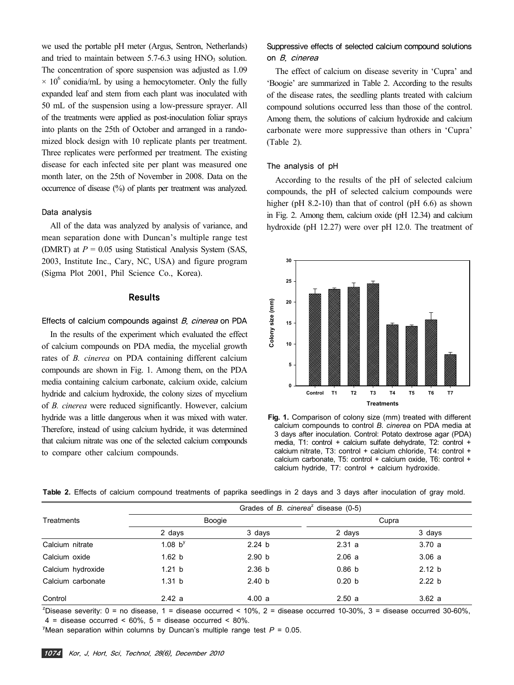we used the portable pH meter (Argus, Sentron, Netherlands) and tried to maintain between  $5.7-6.3$  using  $HNO<sub>3</sub>$  solution. The concentration of spore suspension was adjusted as 1.09  $\times$  10<sup>6</sup> conidia/mL by using a hemocytometer. Only the fully expanded leaf and stem from each plant was inoculated with 50 mL of the suspension using a low-pressure sprayer. All of the treatments were applied as post-inoculation foliar sprays into plants on the 25th of October and arranged in a randomized block design with 10 replicate plants per treatment. Three replicates were performed per treatment. The existing disease for each infected site per plant was measured one month later, on the 25th of November in 2008. Data on the occurrence of disease (%) of plants per treatment was analyzed.

## Data analysis

All of the data was analyzed by analysis of variance, and mean separation done with Duncan's multiple range test (DMRT) at  $P = 0.05$  using Statistical Analysis System (SAS, 2003, Institute Inc., Cary, NC, USA) and figure program (Sigma Plot 2001, Phil Science Co., Korea).

## Results

#### Effects of calcium compounds against B, cinerea on PDA

In the results of the experiment which evaluated the effect of calcium compounds on PDA media, the mycelial growth rates of *B. cinerea* on PDA containing different calcium compounds are shown in Fig. 1. Among them, on the PDA media containing calcium carbonate, calcium oxide, calcium hydride and calcium hydroxide, the colony sizes of mycelium of *B. cinerea* were reduced significantly. However, calcium hydride was a little dangerous when it was mixed with water. Therefore, instead of using calcium hydride, it was determined that calcium nitrate was one of the selected calcium compounds to compare other calcium compounds.

## Suppressive effects of selected calcium compound solutions on B. cinerea

The effect of calcium on disease severity in 'Cupra' and 'Boogie' are summarized in Table 2. According to the results of the disease rates, the seedling plants treated with calcium compound solutions occurred less than those of the control. Among them, the solutions of calcium hydroxide and calcium carbonate were more suppressive than others in 'Cupra' (Table 2).

#### The analysis of pH

According to the results of the pH of selected calcium compounds, the pH of selected calcium compounds were higher (pH 8.2-10) than that of control (pH 6.6) as shown in Fig. 2. Among them, calcium oxide (pH 12.34) and calcium hydroxide (pH 12.27) were over pH 12.0. The treatment of



**Fig. 1.** Comparison of colony size (mm) treated with different calcium compounds to control *B. cinerea* on PDA media at 3 days after inoculation. Control: Potato dextrose agar (PDA) media, T1: control + calcium sulfate dehydrate, T2: control + calcium nitrate, T3: control + calcium chloride, T4: control + calcium carbonate, T5: control + calcium oxide, T6: control + calcium hydride, T7: control + calcium hydroxide.

|                   |              | Grades of B. cinerea <sup>z</sup> disease (0-5) |                   |        |  |
|-------------------|--------------|-------------------------------------------------|-------------------|--------|--|
| Treatments        | Boogie       |                                                 | Cupra             |        |  |
|                   | 2 days       | 3 days                                          | 2 days            | 3 days |  |
| Calcium nitrate   | 1.08 $b^{y}$ | 2.24 b                                          | 2.31 a            | 3.70a  |  |
| Calcium oxide     | 1.62 b       | 2.90 <sub>b</sub>                               | 2.06a             | 3.06a  |  |
| Calcium hydroxide | 1.21 b       | 2.36 <sub>b</sub>                               | 0.86 <sub>b</sub> | 2.12 b |  |
| Calcium carbonate | 1.31 b       | 2.40 <sub>b</sub>                               | 0.20 <sub>b</sub> | 2.22 b |  |
| Control           | 2.42a        | 4.00 a                                          | 2.50a             | 3.62a  |  |

**Table 2.** Effects of calcium compound treatments of paprika seedlings in 2 days and 3 days after inoculation of gray mold.

z Disease severity: 0 = no disease, 1 = disease occurred < 10%, 2 = disease occurred 10-30%, 3 = disease occurred 30-60%,  $4 =$  disease occurred < 60%,  $5 =$  disease occurred < 80%.

y Mean separation within columns by Duncan's multiple range test *P* = 0.05.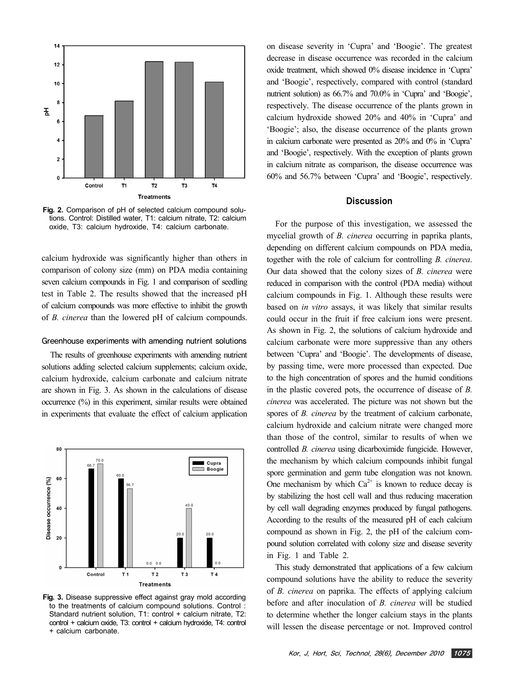

**Fig. 2.** Comparison of pH of selected calcium compound solutions. Control: Distilled water, T1: calcium nitrate, T2: calcium oxide, T3: calcium hydroxide, T4: calcium carbonate.

calcium hydroxide was significantly higher than others in comparison of colony size (mm) on PDA media containing seven calcium compounds in Fig. 1 and comparison of seedling test in Table 2. The results showed that the increased pH of calcium compounds was more effective to inhibit the growth of *B. cinerea* than the lowered pH of calcium compounds.

#### Greenhouse experiments with amending nutrient solutions

The results of greenhouse experiments with amending nutrient solutions adding selected calcium supplements; calcium oxide, calcium hydroxide, calcium carbonate and calcium nitrate are shown in Fig. 3. As shown in the calculations of disease occurrence (%) in this experiment, similar results were obtained in experiments that evaluate the effect of calcium application



**Fig. 3.** Disease suppressive effect against gray mold according to the treatments of calcium compound solutions. Control : Standard nutrient solution, T1: control + calcium nitrate, T2: control + calcium oxide, T3: control + calcium hydroxide, T4: control + calcium carbonate.

on disease severity in 'Cupra' and 'Boogie'. The greatest decrease in disease occurrence was recorded in the calcium oxide treatment, which showed 0% disease incidence in 'Cupra' and 'Boogie', respectively, compared with control (standard nutrient solution) as 66.7% and 70.0% in 'Cupra' and 'Boogie', respectively. The disease occurrence of the plants grown in calcium hydroxide showed 20% and 40% in 'Cupra' and 'Boogie'; also, the disease occurrence of the plants grown in calcium carbonate were presented as 20% and 0% in 'Cupra' and 'Boogie', respectively. With the exception of plants grown in calcium nitrate as comparison, the disease occurrence was 60% and 56.7% between 'Cupra' and 'Boogie', respectively.

#### **Discussion**

For the purpose of this investigation, we assessed the mycelial growth of *B. cinerea* occurring in paprika plants, depending on different calcium compounds on PDA media, together with the role of calcium for controlling *B. cinerea*. Our data showed that the colony sizes of *B. cinerea* were reduced in comparison with the control (PDA media) without calcium compounds in Fig. 1. Although these results were based on *in vitro* assays, it was likely that similar results could occur in the fruit if free calcium ions were present. As shown in Fig. 2, the solutions of calcium hydroxide and calcium carbonate were more suppressive than any others between 'Cupra' and 'Boogie'. The developments of disease, by passing time, were more processed than expected. Due to the high concentration of spores and the humid conditions in the plastic covered pots, the occurrence of disease of *B. cinerea* was accelerated. The picture was not shown but the spores of *B. cinerea* by the treatment of calcium carbonate, calcium hydroxide and calcium nitrate were changed more than those of the control, similar to results of when we controlled *B. cinerea* using dicarboximide fungicide. However, the mechanism by which calcium compounds inhibit fungal spore germination and germ tube elongation was not known. One mechanism by which  $Ca^{2+}$  is known to reduce decay is by stabilizing the host cell wall and thus reducing maceration by cell wall degrading enzymes produced by fungal pathogens. According to the results of the measured pH of each calcium compound as shown in Fig. 2, the pH of the calcium compound solution correlated with colony size and disease severity in Fig. 1 and Table 2.

This study demonstrated that applications of a few calcium compound solutions have the ability to reduce the severity of *B. cinerea* on paprika. The effects of applying calcium before and after inoculation of *B. cinerea* will be studied to determine whether the longer calcium stays in the plants will lessen the disease percentage or not. Improved control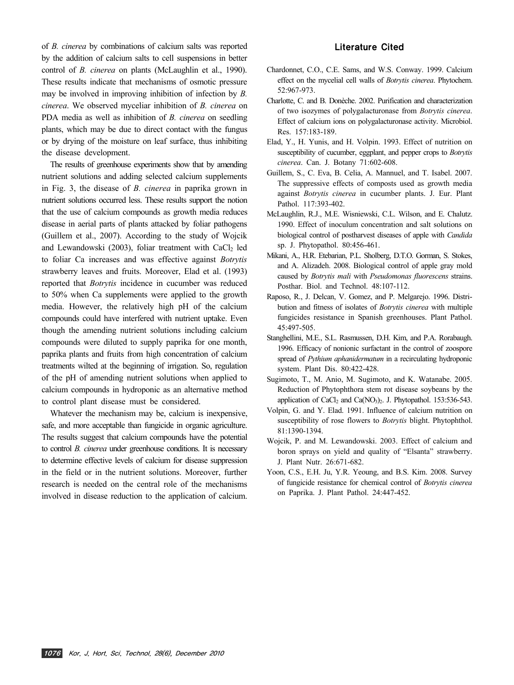of *B. cinerea* by combinations of calcium salts was reported by the addition of calcium salts to cell suspensions in better control of *B. cinerea* on plants (McLaughlin et al., 1990). These results indicate that mechanisms of osmotic pressure may be involved in improving inhibition of infection by *B. cinerea*. We observed myceliar inhibition of *B. cinerea* on PDA media as well as inhibition of *B. cinerea* on seedling plants, which may be due to direct contact with the fungus or by drying of the moisture on leaf surface, thus inhibiting the disease development.

The results of greenhouse experiments show that by amending nutrient solutions and adding selected calcium supplements in Fig. 3, the disease of *B. cinerea* in paprika grown in nutrient solutions occurred less. These results support the notion that the use of calcium compounds as growth media reduces disease in aerial parts of plants attacked by foliar pathogens (Guillem et al., 2007). According to the study of Wojcik and Lewandowski (2003), foliar treatment with  $CaCl<sub>2</sub>$  led to foliar Ca increases and was effective against *Botrytis* strawberry leaves and fruits. Moreover, Elad et al. (1993) reported that *Botrytis* incidence in cucumber was reduced to 50% when Ca supplements were applied to the growth media. However, the relatively high pH of the calcium compounds could have interfered with nutrient uptake. Even though the amending nutrient solutions including calcium compounds were diluted to supply paprika for one month, paprika plants and fruits from high concentration of calcium treatments wilted at the beginning of irrigation. So, regulation of the pH of amending nutrient solutions when applied to calcium compounds in hydroponic as an alternative method to control plant disease must be considered.

Whatever the mechanism may be, calcium is inexpensive, safe, and more acceptable than fungicide in organic agriculture. The results suggest that calcium compounds have the potential to control *B. cinerea* under greenhouse conditions. It is necessary to determine effective levels of calcium for disease suppression in the field or in the nutrient solutions. Moreover, further research is needed on the central role of the mechanisms involved in disease reduction to the application of calcium.

## Literature Cited

- Chardonnet, C.O., C.E. Sams, and W.S. Conway. 1999. Calcium effect on the mycelial cell walls of *Botrytis cinerea*. Phytochem. 52:967-973.
- Charlotte, C. and B. Donèche. 2002. Purification and characterization of two isozymes of polygalacturonase from *Botrytis cinerea*. Effect of calcium ions on polygalacturonase activity. Microbiol. Res. 157:183-189.
- Elad, Y., H. Yunis, and H. Volpin. 1993. Effect of nutrition on susceptibility of cucumber, eggplant, and pepper crops to *Botrytis cinerea*. Can. J. Botany 71:602-608.
- Guillem, S., C. Eva, B. Celia, A. Mannuel, and T. Isabel. 2007. The suppressive effects of composts used as growth media against *Botrytis cinerea* in cucumber plants. J. Eur. Plant Pathol. 117:393-402.
- McLaughlin, R.J., M.E. Wisniewski, C.L. Wilson, and E. Chalutz. 1990. Effect of inoculum concentration and salt solutions on biological control of postharvest diseases of apple with *Candida* sp. J. Phytopathol. 80:456-461.
- Mikani, A., H.R. Etebarian, P.L. Sholberg, D.T.O. Gorman, S. Stokes, and A. Alizadeh. 2008. Biological control of apple gray mold caused by *Botrytis mali* with *Pseudomonas fluorescens* strains. Posthar. Biol. and Technol. 48:107-112.
- Raposo, R., J. Delcan, V. Gomez, and P. Melgarejo. 1996. Distribution and fitness of isolates of *Botrytis cinerea* with multiple fungicides resistance in Spanish greenhouses. Plant Pathol. 45:497-505.
- Stanghellini, M.E., S.L. Rasmussen, D.H. Kim, and P.A. Rorabaugh. 1996. Efficacy of nonionic surfactant in the control of zoospore spread of *Pythium aphanidermatum* in a recirculating hydroponic system. Plant Dis. 80:422-428.
- Sugimoto, T., M. Anio, M. Sugimoto, and K. Watanabe. 2005. Reduction of Phytophthora stem rot disease soybeans by the application of CaCl<sub>2</sub> and Ca $(NO<sub>3</sub>)<sub>2</sub>$ . J. Phytopathol. 153:536-543.
- Volpin, G. and Y. Elad. 1991. Influence of calcium nutrition on susceptibility of rose flowers to *Botrytis* blight. Phytophthol. 81:1390-1394.
- Wojcik, P. and M. Lewandowski. 2003. Effect of calcium and boron sprays on yield and quality of "Elsanta" strawberry. J. Plant Nutr. 26:671-682.
- Yoon, C.S., E.H. Ju, Y.R. Yeoung, and B.S. Kim. 2008. Survey of fungicide resistance for chemical control of *Botrytis cinerea* on Paprika. J. Plant Pathol. 24:447-452.